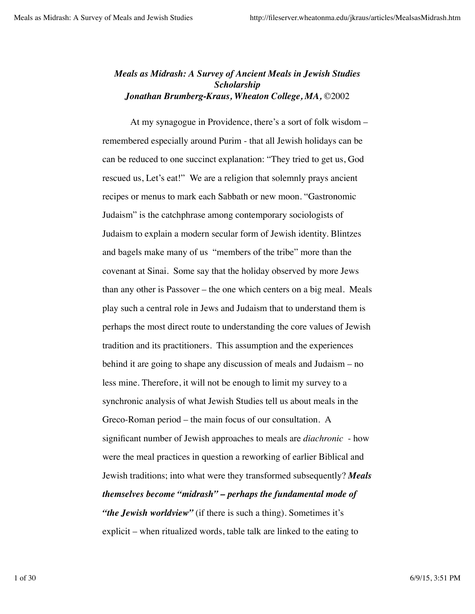## *Meals as Midrash: A Survey of Ancient Meals in Jewish Studies Scholarship Jonathan Brumberg-Kraus, Wheaton College, MA,* ©2002

At my synagogue in Providence, there's a sort of folk wisdom – remembered especially around Purim - that all Jewish holidays can be can be reduced to one succinct explanation: "They tried to get us, God rescued us, Let's eat!" We are a religion that solemnly prays ancient recipes or menus to mark each Sabbath or new moon. "Gastronomic Judaism" is the catchphrase among contemporary sociologists of Judaism to explain a modern secular form of Jewish identity. Blintzes and bagels make many of us "members of the tribe" more than the covenant at Sinai. Some say that the holiday observed by more Jews than any other is Passover – the one which centers on a big meal. Meals play such a central role in Jews and Judaism that to understand them is perhaps the most direct route to understanding the core values of Jewish tradition and its practitioners. This assumption and the experiences behind it are going to shape any discussion of meals and Judaism – no less mine. Therefore, it will not be enough to limit my survey to a synchronic analysis of what Jewish Studies tell us about meals in the Greco-Roman period – the main focus of our consultation. A significant number of Jewish approaches to meals are *diachronic* - how were the meal practices in question a reworking of earlier Biblical and Jewish traditions; into what were they transformed subsequently? *Meals themselves become "midrash" – perhaps the fundamental mode of "the Jewish worldview"* (if there is such a thing). Sometimes it's explicit – when ritualized words, table talk are linked to the eating to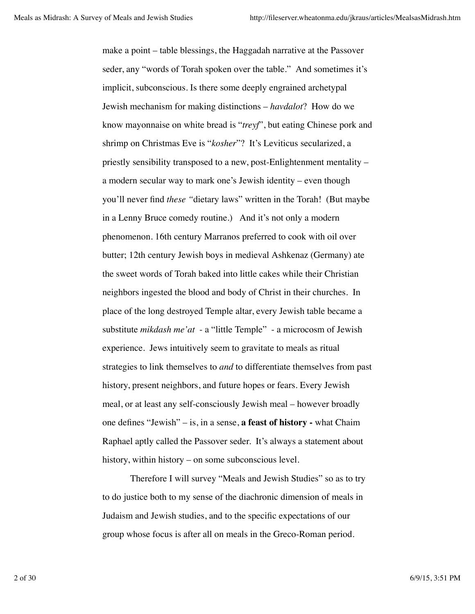make a point – table blessings, the Haggadah narrative at the Passover seder, any "words of Torah spoken over the table." And sometimes it's implicit, subconscious. Is there some deeply engrained archetypal Jewish mechanism for making distinctions – *havdalot*? How do we know mayonnaise on white bread is "*treyf*", but eating Chinese pork and shrimp on Christmas Eve is "*kosher*"? It's Leviticus secularized, a priestly sensibility transposed to a new, post-Enlightenment mentality – a modern secular way to mark one's Jewish identity – even though you'll never find *these "*dietary laws" written in the Torah! (But maybe in a Lenny Bruce comedy routine.) And it's not only a modern phenomenon. 16th century Marranos preferred to cook with oil over butter; 12th century Jewish boys in medieval Ashkenaz (Germany) ate the sweet words of Torah baked into little cakes while their Christian neighbors ingested the blood and body of Christ in their churches. In place of the long destroyed Temple altar, every Jewish table became a substitute *mikdash me'at* - a "little Temple" - a microcosm of Jewish experience. Jews intuitively seem to gravitate to meals as ritual strategies to link themselves to *and* to differentiate themselves from past history, present neighbors, and future hopes or fears. Every Jewish meal, or at least any self-consciously Jewish meal – however broadly one defines "Jewish" – is, in a sense, **a feast of history -** what Chaim Raphael aptly called the Passover seder. It's always a statement about history, within history – on some subconscious level.

Therefore I will survey "Meals and Jewish Studies" so as to try to do justice both to my sense of the diachronic dimension of meals in Judaism and Jewish studies, and to the specific expectations of our group whose focus is after all on meals in the Greco-Roman period.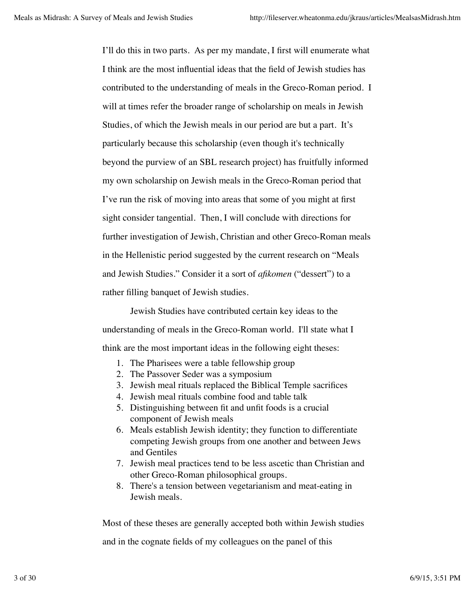I'll do this in two parts. As per my mandate, I first will enumerate what I think are the most influential ideas that the field of Jewish studies has contributed to the understanding of meals in the Greco-Roman period. I will at times refer the broader range of scholarship on meals in Jewish Studies, of which the Jewish meals in our period are but a part. It's particularly because this scholarship (even though it's technically beyond the purview of an SBL research project) has fruitfully informed my own scholarship on Jewish meals in the Greco-Roman period that I've run the risk of moving into areas that some of you might at first sight consider tangential. Then, I will conclude with directions for further investigation of Jewish, Christian and other Greco-Roman meals in the Hellenistic period suggested by the current research on "Meals and Jewish Studies." Consider it a sort of *afikomen* ("dessert") to a rather filling banquet of Jewish studies.

Jewish Studies have contributed certain key ideas to the understanding of meals in the Greco-Roman world. I'll state what I think are the most important ideas in the following eight theses:

- 1. The Pharisees were a table fellowship group
- 2. The Passover Seder was a symposium
- 3. Jewish meal rituals replaced the Biblical Temple sacrifices
- 4. Jewish meal rituals combine food and table talk
- 5. Distinguishing between fit and unfit foods is a crucial component of Jewish meals
- 6. Meals establish Jewish identity; they function to differentiate competing Jewish groups from one another and between Jews and Gentiles
- 7. Jewish meal practices tend to be less ascetic than Christian and other Greco-Roman philosophical groups.
- 8. There's a tension between vegetarianism and meat-eating in Jewish meals.

Most of these theses are generally accepted both within Jewish studies

and in the cognate fields of my colleagues on the panel of this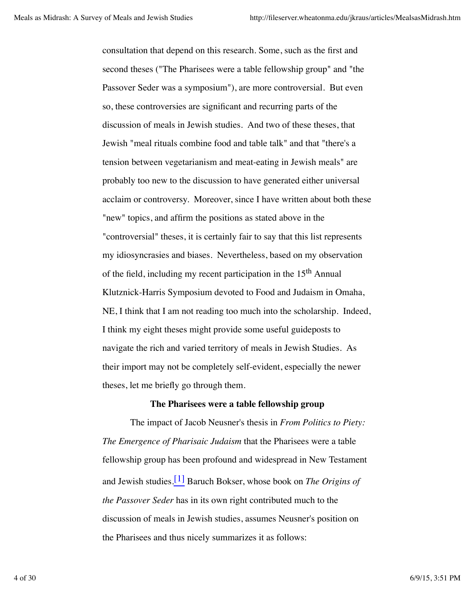consultation that depend on this research. Some, such as the first and second theses ("The Pharisees were a table fellowship group" and "the Passover Seder was a symposium"), are more controversial. But even so, these controversies are significant and recurring parts of the discussion of meals in Jewish studies. And two of these theses, that Jewish "meal rituals combine food and table talk" and that "there's a tension between vegetarianism and meat-eating in Jewish meals" are probably too new to the discussion to have generated either universal acclaim or controversy. Moreover, since I have written about both these "new" topics, and affirm the positions as stated above in the "controversial" theses, it is certainly fair to say that this list represents my idiosyncrasies and biases. Nevertheless, based on my observation of the field, including my recent participation in the 15th Annual Klutznick-Harris Symposium devoted to Food and Judaism in Omaha, NE, I think that I am not reading too much into the scholarship. Indeed, I think my eight theses might provide some useful guideposts to navigate the rich and varied territory of meals in Jewish Studies. As their import may not be completely self-evident, especially the newer theses, let me briefly go through them.

### **The Pharisees were a table fellowship group**

The impact of Jacob Neusner's thesis in *From Politics to Piety: The Emergence of Pharisaic Judaism* that the Pharisees were a table fellowship group has been profound and widespread in New Testament and Jewish studies.[1] Baruch Bokser, whose book on *The Origins of the Passover Seder* has in its own right contributed much to the discussion of meals in Jewish studies, assumes Neusner's position on the Pharisees and thus nicely summarizes it as follows: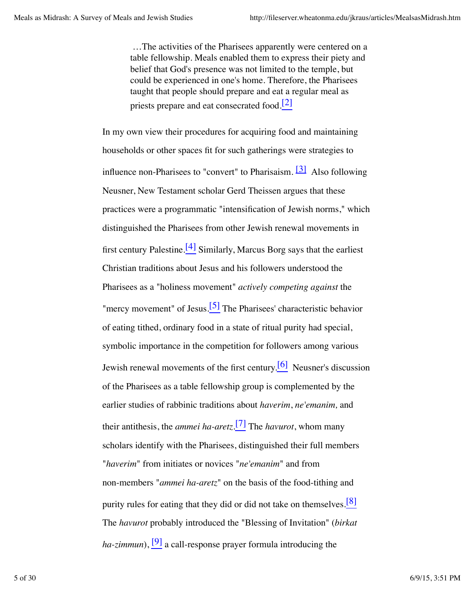…The activities of the Pharisees apparently were centered on a table fellowship. Meals enabled them to express their piety and belief that God's presence was not limited to the temple, but could be experienced in one's home. Therefore, the Pharisees taught that people should prepare and eat a regular meal as priests prepare and eat consecrated food.<sup>[2]</sup>

In my own view their procedures for acquiring food and maintaining households or other spaces fit for such gatherings were strategies to influence non-Pharisees to "convert" to Pharisaism.  $\boxed{3}$  Also following Neusner, New Testament scholar Gerd Theissen argues that these practices were a programmatic "intensification of Jewish norms," which distinguished the Pharisees from other Jewish renewal movements in first century Palestine.<sup>[4]</sup> Similarly, Marcus Borg says that the earliest Christian traditions about Jesus and his followers understood the Pharisees as a "holiness movement" *actively competing against* the "mercy movement" of Jesus. $\frac{5}{7}$  The Pharisees' characteristic behavior of eating tithed, ordinary food in a state of ritual purity had special, symbolic importance in the competition for followers among various Jewish renewal movements of the first century.<sup>[6]</sup> Neusner's discussion of the Pharisees as a table fellowship group is complemented by the earlier studies of rabbinic traditions about *haverim*, *ne'emanim,* and their antithesis, the *ammei ha-aretz*. [7] The *havurot*, whom many scholars identify with the Pharisees, distinguished their full members "*haverim*" from initiates or novices "*ne'emanim*" and from non-members "*ammei ha-aretz*" on the basis of the food-tithing and purity rules for eating that they did or did not take on themselves.<sup>[8]</sup> The *havurot* probably introduced the "Blessing of Invitation" (*birkat ha-zimmun*),  $\left[\frac{9}{9}\right]$  a call-response prayer formula introducing the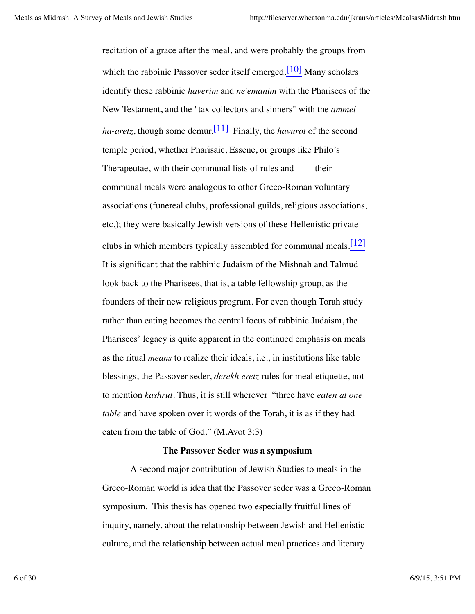recitation of a grace after the meal, and were probably the groups from which the rabbinic Passover seder itself emerged.<sup>[10]</sup> Many scholars identify these rabbinic *haverim* and *ne'emanim* with the Pharisees of the New Testament, and the "tax collectors and sinners" with the *ammei ha-aretz*, though some demur.[11] Finally, the *havurot* of the second temple period, whether Pharisaic, Essene, or groups like Philo's Therapeutae, with their communal lists of rules and their communal meals were analogous to other Greco-Roman voluntary associations (funereal clubs, professional guilds, religious associations, etc.); they were basically Jewish versions of these Hellenistic private clubs in which members typically assembled for communal meals.  $\lfloor 12 \rfloor$ It is significant that the rabbinic Judaism of the Mishnah and Talmud look back to the Pharisees, that is, a table fellowship group, as the founders of their new religious program. For even though Torah study rather than eating becomes the central focus of rabbinic Judaism, the Pharisees' legacy is quite apparent in the continued emphasis on meals as the ritual *means* to realize their ideals, i.e., in institutions like table blessings, the Passover seder, *derekh eretz* rules for meal etiquette, not to mention *kashrut*. Thus, it is still wherever "three have *eaten at one table* and have spoken over it words of the Torah, it is as if they had eaten from the table of God." (M.Avot 3:3)

#### **The Passover Seder was a symposium**

A second major contribution of Jewish Studies to meals in the Greco-Roman world is idea that the Passover seder was a Greco-Roman symposium. This thesis has opened two especially fruitful lines of inquiry, namely, about the relationship between Jewish and Hellenistic culture, and the relationship between actual meal practices and literary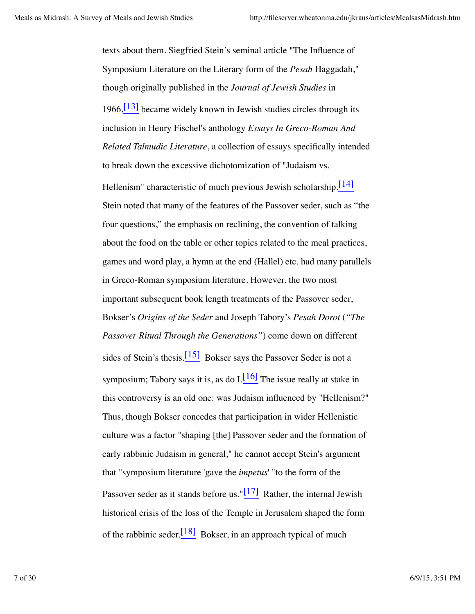texts about them. Siegfried Stein's seminal article "The Influence of Symposium Literature on the Literary form of the *Pesah* Haggadah," though originally published in the *Journal of Jewish Studies* in  $1966$ ,  $[13]$  became widely known in Jewish studies circles through its inclusion in Henry Fischel's anthology *Essays In Greco-Roman And Related Talmudic Literature*, a collection of essays specifically intended to break down the excessive dichotomization of "Judaism vs.

Hellenism" characteristic of much previous Jewish scholarship. $\frac{114}{14}$ Stein noted that many of the features of the Passover seder, such as "the four questions," the emphasis on reclining, the convention of talking about the food on the table or other topics related to the meal practices, games and word play, a hymn at the end (Hallel) etc. had many parallels in Greco-Roman symposium literature. However, the two most important subsequent book length treatments of the Passover seder, Bokser's *Origins of the Seder* and Joseph Tabory's *Pesah Dorot* (*"The Passover Ritual Through the Generations"*) come down on different sides of Stein's thesis.<sup>[15]</sup> Bokser says the Passover Seder is not a symposium; Tabory says it is, as do  $I.\overline{16}$  The issue really at stake in this controversy is an old one: was Judaism influenced by "Hellenism?" Thus, though Bokser concedes that participation in wider Hellenistic culture was a factor "shaping [the] Passover seder and the formation of early rabbinic Judaism in general," he cannot accept Stein's argument that "symposium literature 'gave the *impetus*' "to the form of the Passover seder as it stands before us." $[17]$  Rather, the internal Jewish historical crisis of the loss of the Temple in Jerusalem shaped the form of the rabbinic seder.  $\frac{[18]}{[18]}$  Bokser, in an approach typical of much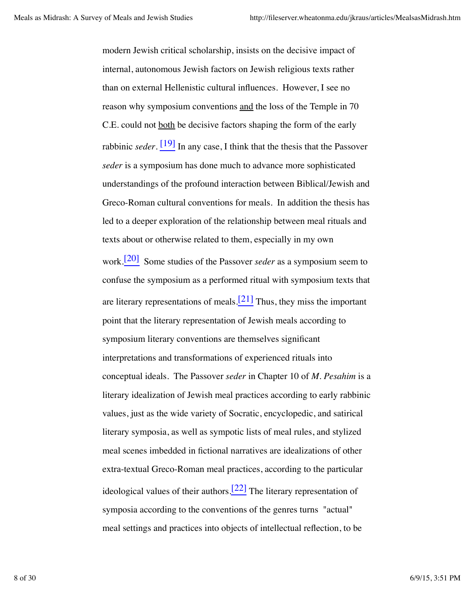modern Jewish critical scholarship, insists on the decisive impact of internal, autonomous Jewish factors on Jewish religious texts rather than on external Hellenistic cultural influences. However, I see no reason why symposium conventions and the loss of the Temple in 70 C.E. could not both be decisive factors shaping the form of the early rabbinic *seder*. [19] In any case, I think that the thesis that the Passover *seder* is a symposium has done much to advance more sophisticated understandings of the profound interaction between Biblical/Jewish and Greco-Roman cultural conventions for meals. In addition the thesis has led to a deeper exploration of the relationship between meal rituals and texts about or otherwise related to them, especially in my own work.[20] Some studies of the Passover *seder* as a symposium seem to confuse the symposium as a performed ritual with symposium texts that are literary representations of meals.<sup>[21]</sup> Thus, they miss the important point that the literary representation of Jewish meals according to symposium literary conventions are themselves significant interpretations and transformations of experienced rituals into conceptual ideals. The Passover *seder* in Chapter 10 of *M. Pesahim* is a literary idealization of Jewish meal practices according to early rabbinic values, just as the wide variety of Socratic, encyclopedic, and satirical literary symposia, as well as sympotic lists of meal rules, and stylized meal scenes imbedded in fictional narratives are idealizations of other extra-textual Greco-Roman meal practices, according to the particular ideological values of their authors.<sup>[22]</sup> The literary representation of symposia according to the conventions of the genres turns "actual" meal settings and practices into objects of intellectual reflection, to be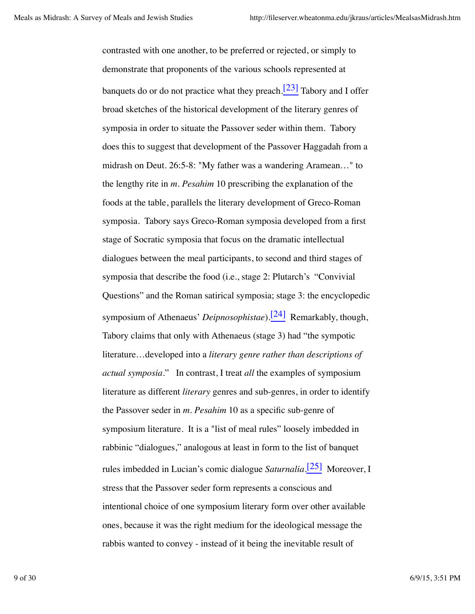contrasted with one another, to be preferred or rejected, or simply to demonstrate that proponents of the various schools represented at banquets do or do not practice what they preach.<sup>[23]</sup> Tabory and I offer broad sketches of the historical development of the literary genres of symposia in order to situate the Passover seder within them. Tabory does this to suggest that development of the Passover Haggadah from a midrash on Deut. 26:5-8: "My father was a wandering Aramean…" to the lengthy rite in *m. Pesahim* 10 prescribing the explanation of the foods at the table, parallels the literary development of Greco-Roman symposia. Tabory says Greco-Roman symposia developed from a first stage of Socratic symposia that focus on the dramatic intellectual dialogues between the meal participants, to second and third stages of symposia that describe the food (i.e., stage 2: Plutarch's "Convivial Questions" and the Roman satirical symposia; stage 3: the encyclopedic symposium of Athenaeus' *Deipnosophistae*).[24] Remarkably, though, Tabory claims that only with Athenaeus (stage 3) had "the sympotic literature…developed into a *literary genre rather than descriptions of actual symposia*." In contrast, I treat *all* the examples of symposium literature as different *literary* genres and sub-genres, in order to identify the Passover seder in *m. Pesahim* 10 as a specific sub-genre of symposium literature. It is a "list of meal rules" loosely imbedded in rabbinic "dialogues," analogous at least in form to the list of banquet rules imbedded in Lucian's comic dialogue *Saturnalia*. [25] Moreover, I stress that the Passover seder form represents a conscious and intentional choice of one symposium literary form over other available ones, because it was the right medium for the ideological message the rabbis wanted to convey - instead of it being the inevitable result of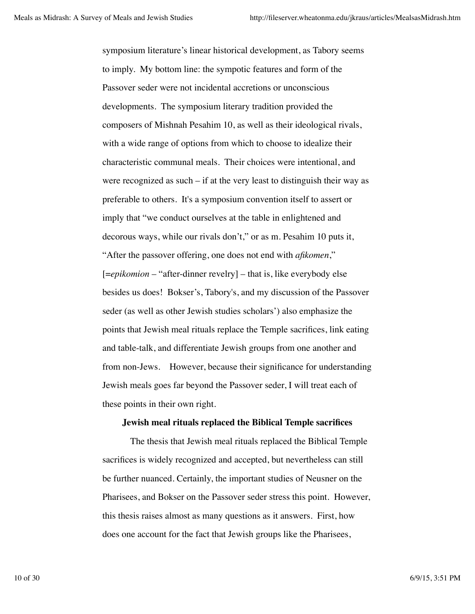symposium literature's linear historical development, as Tabory seems to imply. My bottom line: the sympotic features and form of the Passover seder were not incidental accretions or unconscious developments. The symposium literary tradition provided the composers of Mishnah Pesahim 10, as well as their ideological rivals, with a wide range of options from which to choose to idealize their characteristic communal meals. Their choices were intentional, and were recognized as such – if at the very least to distinguish their way as preferable to others. It's a symposium convention itself to assert or imply that "we conduct ourselves at the table in enlightened and decorous ways, while our rivals don't," or as m. Pesahim 10 puts it, "After the passover offering, one does not end with *afikomen*," [=*epikomion* – "after-dinner revelry] – that is, like everybody else besides us does! Bokser's, Tabory's, and my discussion of the Passover seder (as well as other Jewish studies scholars') also emphasize the points that Jewish meal rituals replace the Temple sacrifices, link eating and table-talk, and differentiate Jewish groups from one another and from non-Jews. However, because their significance for understanding Jewish meals goes far beyond the Passover seder, I will treat each of these points in their own right.

### **Jewish meal rituals replaced the Biblical Temple sacrifices**

The thesis that Jewish meal rituals replaced the Biblical Temple sacrifices is widely recognized and accepted, but nevertheless can still be further nuanced. Certainly, the important studies of Neusner on the Pharisees, and Bokser on the Passover seder stress this point. However, this thesis raises almost as many questions as it answers. First, how does one account for the fact that Jewish groups like the Pharisees,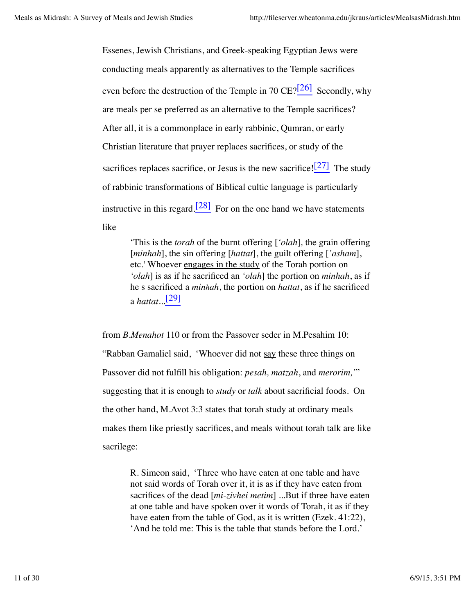Essenes, Jewish Christians, and Greek-speaking Egyptian Jews were conducting meals apparently as alternatives to the Temple sacrifices even before the destruction of the Temple in 70  $CE$ ?[ $^{26}$ ] Secondly, why are meals per se preferred as an alternative to the Temple sacrifices? After all, it is a commonplace in early rabbinic, Qumran, or early Christian literature that prayer replaces sacrifices, or study of the sacrifices replaces sacrifice, or Jesus is the new sacrifice! $\frac{[27]}{[27]}$  The study of rabbinic transformations of Biblical cultic language is particularly instructive in this regard.<sup>[28]</sup> For on the one hand we have statements like

> 'This is the *torah* of the burnt offering [*'olah*]*,* the grain offering [*minhah*], the sin offering [*hattat*], the guilt offering [*'asham*], etc.' Whoever engages in the study of the Torah portion on *'olah*] is as if he sacrificed an *'olah*] the portion on *minhah*, as if he s sacrificed a *minhah*, the portion on *hattat*, as if he sacrificed a *hattat*...[29]

from *B.Menahot* 110 or from the Passover seder in M.Pesahim 10: "Rabban Gamaliel said, 'Whoever did not say these three things on Passover did not fulfill his obligation: *pesah, matzah*, and *merorim,'*" suggesting that it is enough to *study* or *talk* about sacrificial foods. On the other hand, M.Avot 3:3 states that torah study at ordinary meals makes them like priestly sacrifices, and meals without torah talk are like sacrilege:

> R. Simeon said, 'Three who have eaten at one table and have not said words of Torah over it, it is as if they have eaten from sacrifices of the dead [*mi-zivhei metim*] ...But if three have eaten at one table and have spoken over it words of Torah, it as if they have eaten from the table of God, as it is written (Ezek. 41:22), 'And he told me: This is the table that stands before the Lord.'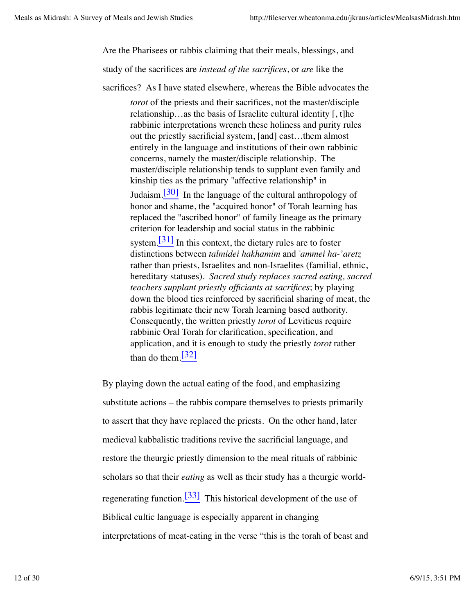Are the Pharisees or rabbis claiming that their meals, blessings, and

study of the sacrifices are *instead of the sacrifices*, or *are* like the

sacrifices? As I have stated elsewhere, whereas the Bible advocates the

*torot* of the priests and their sacrifices, not the master/disciple relationship…as the basis of Israelite cultural identity [, t]he rabbinic interpretations wrench these holiness and purity rules out the priestly sacrificial system, [and] cast…them almost entirely in the language and institutions of their own rabbinic concerns, namely the master/disciple relationship. The master/disciple relationship tends to supplant even family and kinship ties as the primary "affective relationship" in Judaism.<sup>[30]</sup> In the language of the cultural anthropology of honor and shame, the "acquired honor" of Torah learning has replaced the "ascribed honor" of family lineage as the primary criterion for leadership and social status in the rabbinic system.<sup>[31]</sup> In this context, the dietary rules are to foster distinctions between *talmidei hakhamim* and *'ammei ha-'aretz* rather than priests, Israelites and non-Israelites (familial, ethnic, hereditary statuses). *Sacred study replaces sacred eating, sacred teachers supplant priestly officiants at sacrifices*; by playing down the blood ties reinforced by sacrificial sharing of meat, the rabbis legitimate their new Torah learning based authority. Consequently, the written priestly *torot* of Leviticus require rabbinic Oral Torah for clarification, specification, and application, and it is enough to study the priestly *torot* rather than do them. $\sqrt{32}$ 

By playing down the actual eating of the food, and emphasizing substitute actions – the rabbis compare themselves to priests primarily to assert that they have replaced the priests. On the other hand, later medieval kabbalistic traditions revive the sacrificial language, and restore the theurgic priestly dimension to the meal rituals of rabbinic scholars so that their *eating* as well as their study has a theurgic worldregenerating function.<sup>[33]</sup> This historical development of the use of Biblical cultic language is especially apparent in changing interpretations of meat-eating in the verse "this is the torah of beast and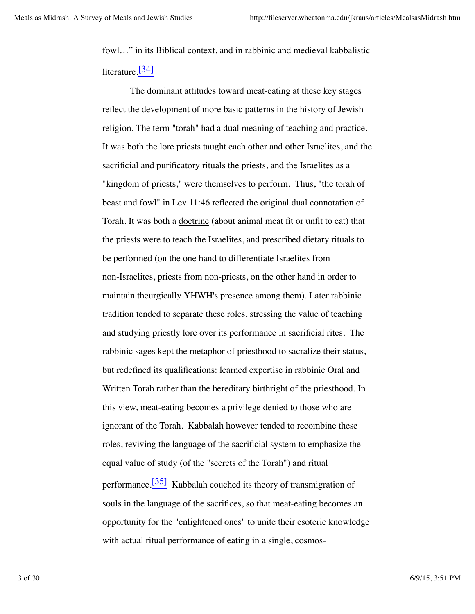fowl…" in its Biblical context, and in rabbinic and medieval kabbalistic literature.<sup>[34]</sup>

The dominant attitudes toward meat-eating at these key stages reflect the development of more basic patterns in the history of Jewish religion. The term "torah" had a dual meaning of teaching and practice. It was both the lore priests taught each other and other Israelites, and the sacrificial and purificatory rituals the priests, and the Israelites as a "kingdom of priests," were themselves to perform. Thus, "the torah of beast and fowl" in Lev 11:46 reflected the original dual connotation of Torah. It was both a <u>doctrine</u> (about animal meat fit or unfit to eat) that the priests were to teach the Israelites, and prescribed dietary rituals to be performed (on the one hand to differentiate Israelites from non-Israelites, priests from non-priests, on the other hand in order to maintain theurgically YHWH's presence among them). Later rabbinic tradition tended to separate these roles, stressing the value of teaching and studying priestly lore over its performance in sacrificial rites. The rabbinic sages kept the metaphor of priesthood to sacralize their status, but redefined its qualifications: learned expertise in rabbinic Oral and Written Torah rather than the hereditary birthright of the priesthood. In this view, meat-eating becomes a privilege denied to those who are ignorant of the Torah. Kabbalah however tended to recombine these roles, reviving the language of the sacrificial system to emphasize the equal value of study (of the "secrets of the Torah") and ritual performance.<sup>[35]</sup> Kabbalah couched its theory of transmigration of souls in the language of the sacrifices, so that meat-eating becomes an opportunity for the "enlightened ones" to unite their esoteric knowledge with actual ritual performance of eating in a single, cosmos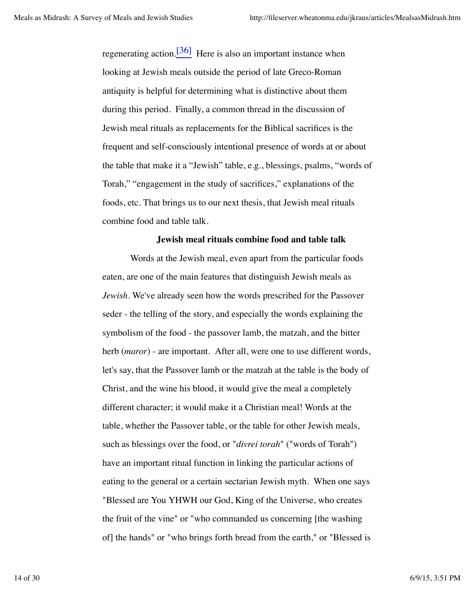regenerating action.<sup>[36]</sup> Here is also an important instance when looking at Jewish meals outside the period of late Greco-Roman antiquity is helpful for determining what is distinctive about them during this period. Finally, a common thread in the discussion of Jewish meal rituals as replacements for the Biblical sacrifices is the frequent and self-consciously intentional presence of words at or about the table that make it a "Jewish" table, e.g., blessings, psalms, "words of Torah," "engagement in the study of sacrifices," explanations of the foods, etc. That brings us to our next thesis, that Jewish meal rituals combine food and table talk.

## **Jewish meal rituals combine food and table talk**

Words at the Jewish meal, even apart from the particular foods eaten, are one of the main features that distinguish Jewish meals as *Jewish*. We've already seen how the words prescribed for the Passover seder - the telling of the story, and especially the words explaining the symbolism of the food - the passover lamb, the matzah, and the bitter herb (*maror*) - are important. After all, were one to use different words, let's say, that the Passover lamb or the matzah at the table is the body of Christ, and the wine his blood, it would give the meal a completely different character; it would make it a Christian meal! Words at the table, whether the Passover table, or the table for other Jewish meals, such as blessings over the food, or "*divrei torah*" ("words of Torah") have an important ritual function in linking the particular actions of eating to the general or a certain sectarian Jewish myth. When one says "Blessed are You YHWH our God, King of the Universe, who creates the fruit of the vine" or "who commanded us concerning [the washing of] the hands" or "who brings forth bread from the earth," or "Blessed is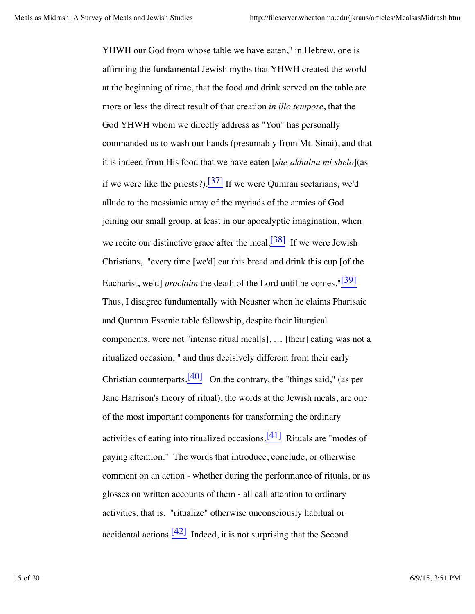YHWH our God from whose table we have eaten," in Hebrew, one is affirming the fundamental Jewish myths that YHWH created the world at the beginning of time, that the food and drink served on the table are more or less the direct result of that creation *in illo tempore*, that the God YHWH whom we directly address as "You" has personally commanded us to wash our hands (presumably from Mt. Sinai), and that it is indeed from His food that we have eaten [*she-akhalnu mi shelo*](as if we were like the priests?).<sup>[37]</sup> If we were Oumran sectarians, we'd allude to the messianic array of the myriads of the armies of God joining our small group, at least in our apocalyptic imagination, when we recite our distinctive grace after the meal. $\frac{[38]}{]}$  If we were Jewish Christians, "every time [we'd] eat this bread and drink this cup [of the Eucharist, we'd] *proclaim* the death of the Lord until he comes."<sup>[39]</sup> Thus, I disagree fundamentally with Neusner when he claims Pharisaic and Qumran Essenic table fellowship, despite their liturgical components, were not "intense ritual meal[s], … [their] eating was not a ritualized occasion, " and thus decisively different from their early Christian counterparts. $[40]$  On the contrary, the "things said," (as per Jane Harrison's theory of ritual), the words at the Jewish meals, are one of the most important components for transforming the ordinary activities of eating into ritualized occasions.<sup>[41]</sup> Rituals are "modes of paying attention." The words that introduce, conclude, or otherwise comment on an action - whether during the performance of rituals, or as glosses on written accounts of them - all call attention to ordinary activities, that is, "ritualize" otherwise unconsciously habitual or accidental actions.  $[42]$  Indeed, it is not surprising that the Second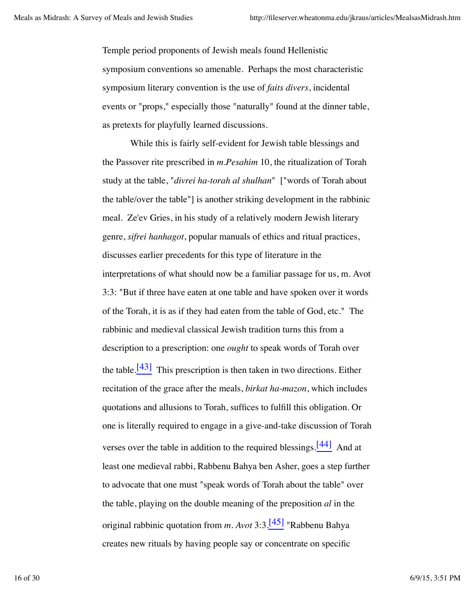Temple period proponents of Jewish meals found Hellenistic symposium conventions so amenable. Perhaps the most characteristic symposium literary convention is the use of *faits divers*, incidental events or "props," especially those "naturally" found at the dinner table, as pretexts for playfully learned discussions.

While this is fairly self-evident for Jewish table blessings and the Passover rite prescribed in *m.Pesahim* 10, the ritualization of Torah study at the table, "*divrei ha-torah al shulhan*" ["words of Torah about the table/over the table"] is another striking development in the rabbinic meal. Ze'ev Gries, in his study of a relatively modern Jewish literary genre, *sifrei hanhagot*, popular manuals of ethics and ritual practices, discusses earlier precedents for this type of literature in the interpretations of what should now be a familiar passage for us, m. Avot 3:3: "But if three have eaten at one table and have spoken over it words of the Torah, it is as if they had eaten from the table of God, etc." The rabbinic and medieval classical Jewish tradition turns this from a description to a prescription: one *ought* to speak words of Torah over the table.<sup>[43]</sup> This prescription is then taken in two directions. Either recitation of the grace after the meals, *birkat ha-mazon*, which includes quotations and allusions to Torah, suffices to fulfill this obligation. Or one is literally required to engage in a give-and-take discussion of Torah verses over the table in addition to the required blessings. $\frac{[44]}{[44]}$  And at least one medieval rabbi, Rabbenu Bahya ben Asher, goes a step further to advocate that one must "speak words of Torah about the table" over the table, playing on the double meaning of the preposition *al* in the original rabbinic quotation from *m. Avot* 3:3.[45] "Rabbenu Bahya creates new rituals by having people say or concentrate on specific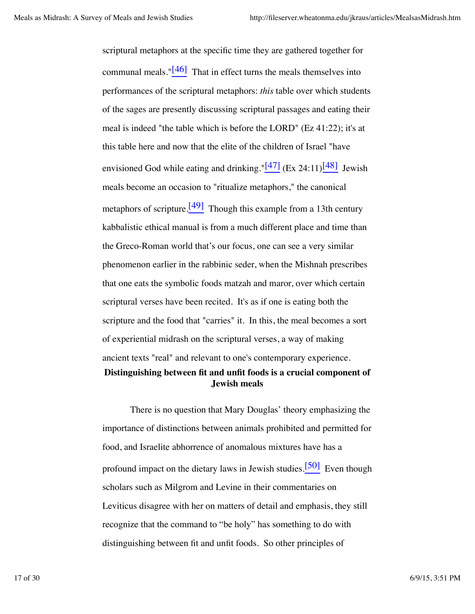scriptural metaphors at the specific time they are gathered together for communal meals." $[46]$  That in effect turns the meals themselves into performances of the scriptural metaphors: *this* table over which students of the sages are presently discussing scriptural passages and eating their meal is indeed "the table which is before the LORD" (Ez 41:22); it's at this table here and now that the elite of the children of Israel "have envisioned God while eating and drinking."<sup>[47]</sup> (Ex 24:11)<sup>[48]</sup> Jewish meals become an occasion to "ritualize metaphors," the canonical metaphors of scripture.  $[49]$  Though this example from a 13th century kabbalistic ethical manual is from a much different place and time than the Greco-Roman world that's our focus, one can see a very similar phenomenon earlier in the rabbinic seder, when the Mishnah prescribes that one eats the symbolic foods matzah and maror, over which certain scriptural verses have been recited. It's as if one is eating both the scripture and the food that "carries" it. In this, the meal becomes a sort of experiential midrash on the scriptural verses, a way of making ancient texts "real" and relevant to one's contemporary experience. **Distinguishing between fit and unfit foods is a crucial component of**

**Jewish meals**

There is no question that Mary Douglas' theory emphasizing the importance of distinctions between animals prohibited and permitted for food, and Israelite abhorrence of anomalous mixtures have has a profound impact on the dietary laws in Jewish studies.<sup>[50]</sup> Even though scholars such as Milgrom and Levine in their commentaries on Leviticus disagree with her on matters of detail and emphasis, they still recognize that the command to "be holy" has something to do with distinguishing between fit and unfit foods. So other principles of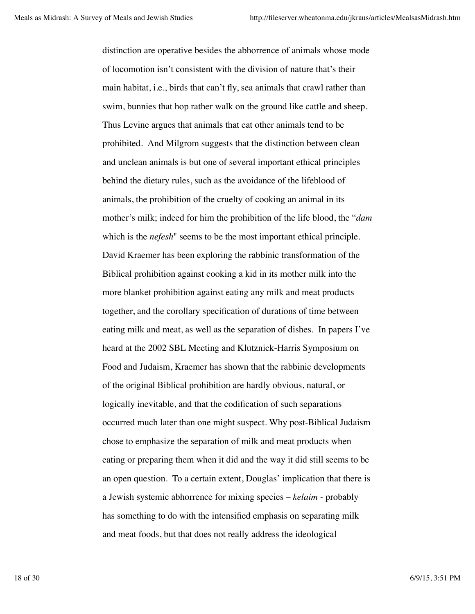distinction are operative besides the abhorrence of animals whose mode of locomotion isn't consistent with the division of nature that's their main habitat, i.e., birds that can't fly, sea animals that crawl rather than swim, bunnies that hop rather walk on the ground like cattle and sheep. Thus Levine argues that animals that eat other animals tend to be prohibited. And Milgrom suggests that the distinction between clean and unclean animals is but one of several important ethical principles behind the dietary rules, such as the avoidance of the lifeblood of animals, the prohibition of the cruelty of cooking an animal in its mother's milk; indeed for him the prohibition of the life blood, the "*dam* which is the *nefesh*" seems to be the most important ethical principle. David Kraemer has been exploring the rabbinic transformation of the Biblical prohibition against cooking a kid in its mother milk into the more blanket prohibition against eating any milk and meat products together, and the corollary specification of durations of time between eating milk and meat, as well as the separation of dishes. In papers I've heard at the 2002 SBL Meeting and Klutznick-Harris Symposium on Food and Judaism, Kraemer has shown that the rabbinic developments of the original Biblical prohibition are hardly obvious, natural, or logically inevitable, and that the codification of such separations occurred much later than one might suspect. Why post-Biblical Judaism chose to emphasize the separation of milk and meat products when eating or preparing them when it did and the way it did still seems to be an open question. To a certain extent, Douglas' implication that there is a Jewish systemic abhorrence for mixing species – *kelaim -* probably has something to do with the intensified emphasis on separating milk and meat foods, but that does not really address the ideological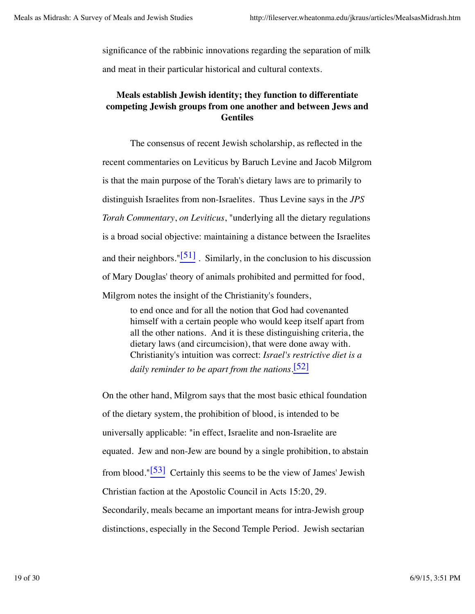significance of the rabbinic innovations regarding the separation of milk and meat in their particular historical and cultural contexts.

# **Meals establish Jewish identity; they function to differentiate competing Jewish groups from one another and between Jews and Gentiles**

The consensus of recent Jewish scholarship, as reflected in the recent commentaries on Leviticus by Baruch Levine and Jacob Milgrom is that the main purpose of the Torah's dietary laws are to primarily to distinguish Israelites from non-Israelites. Thus Levine says in the *JPS Torah Commentary*, *on Leviticus*, "underlying all the dietary regulations is a broad social objective: maintaining a distance between the Israelites and their neighbors." $[51]$ . Similarly, in the conclusion to his discussion of Mary Douglas' theory of animals prohibited and permitted for food, Milgrom notes the insight of the Christianity's founders,

to end once and for all the notion that God had covenanted himself with a certain people who would keep itself apart from all the other nations. And it is these distinguishing criteria, the dietary laws (and circumcision), that were done away with. Christianity's intuition was correct: *Israel's restrictive diet is a daily reminder to be apart from the nations*. [52]

On the other hand, Milgrom says that the most basic ethical foundation of the dietary system, the prohibition of blood, is intended to be universally applicable: "in effect, Israelite and non-Israelite are equated. Jew and non-Jew are bound by a single prohibition, to abstain from blood." $[53]$  Certainly this seems to be the view of James' Jewish Christian faction at the Apostolic Council in Acts 15:20, 29. Secondarily, meals became an important means for intra-Jewish group distinctions, especially in the Second Temple Period. Jewish sectarian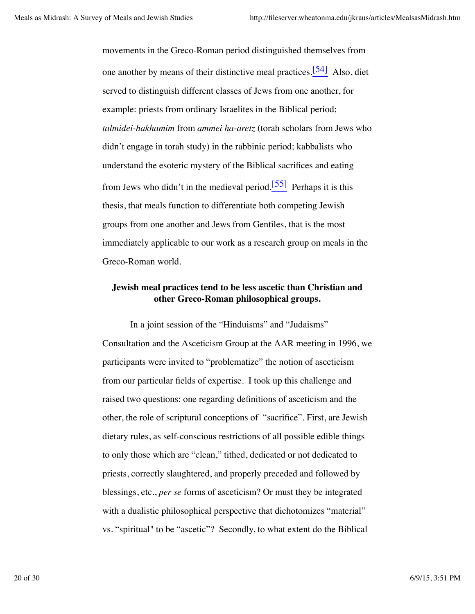movements in the Greco-Roman period distinguished themselves from one another by means of their distinctive meal practices.<sup>[54]</sup> Also, diet served to distinguish different classes of Jews from one another, for example: priests from ordinary Israelites in the Biblical period; *talmidei-hakhamim* from *ammei ha-aretz* (torah scholars from Jews who didn't engage in torah study) in the rabbinic period; kabbalists who understand the esoteric mystery of the Biblical sacrifices and eating from Jews who didn't in the medieval period.<sup>[55]</sup> Perhaps it is this thesis, that meals function to differentiate both competing Jewish groups from one another and Jews from Gentiles, that is the most immediately applicable to our work as a research group on meals in the Greco-Roman world.

## **Jewish meal practices tend to be less ascetic than Christian and other Greco-Roman philosophical groups.**

In a joint session of the "Hinduisms" and "Judaisms" Consultation and the Asceticism Group at the AAR meeting in 1996, we participants were invited to "problematize" the notion of asceticism from our particular fields of expertise. I took up this challenge and raised two questions: one regarding definitions of asceticism and the other, the role of scriptural conceptions of "sacrifice". First, are Jewish dietary rules, as self-conscious restrictions of all possible edible things to only those which are "clean," tithed, dedicated or not dedicated to priests, correctly slaughtered, and properly preceded and followed by blessings, etc., *per se* forms of asceticism? Or must they be integrated with a dualistic philosophical perspective that dichotomizes "material" vs. "spiritual" to be "ascetic"? Secondly, to what extent do the Biblical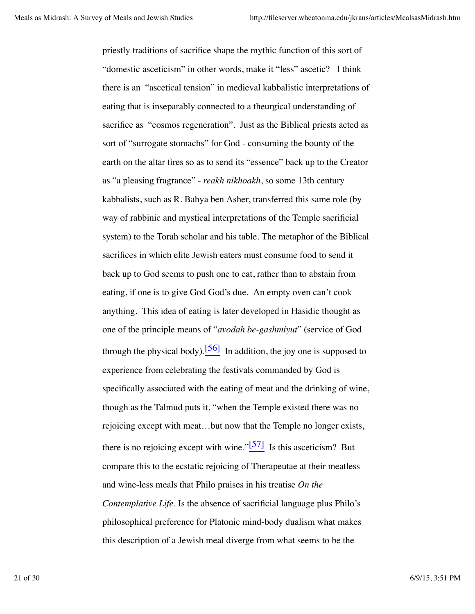priestly traditions of sacrifice shape the mythic function of this sort of "domestic asceticism" in other words, make it "less" ascetic? I think there is an "ascetical tension" in medieval kabbalistic interpretations of eating that is inseparably connected to a theurgical understanding of sacrifice as "cosmos regeneration". Just as the Biblical priests acted as sort of "surrogate stomachs" for God - consuming the bounty of the earth on the altar fires so as to send its "essence" back up to the Creator as "a pleasing fragrance" - *reakh nikhoakh*, so some 13th century kabbalists, such as R. Bahya ben Asher, transferred this same role (by way of rabbinic and mystical interpretations of the Temple sacrificial system) to the Torah scholar and his table. The metaphor of the Biblical sacrifices in which elite Jewish eaters must consume food to send it back up to God seems to push one to eat, rather than to abstain from eating, if one is to give God God's due. An empty oven can't cook anything. This idea of eating is later developed in Hasidic thought as one of the principle means of "*avodah be-gashmiyut*" (service of God through the physical body).<sup>[56]</sup> In addition, the joy one is supposed to experience from celebrating the festivals commanded by God is specifically associated with the eating of meat and the drinking of wine, though as the Talmud puts it, "when the Temple existed there was no rejoicing except with meat…but now that the Temple no longer exists, there is no rejoicing except with wine." $\frac{57}{1}$  Is this asceticism? But compare this to the ecstatic rejoicing of Therapeutae at their meatless and wine-less meals that Philo praises in his treatise *On the Contemplative Life.* Is the absence of sacrificial language plus Philo's philosophical preference for Platonic mind-body dualism what makes this description of a Jewish meal diverge from what seems to be the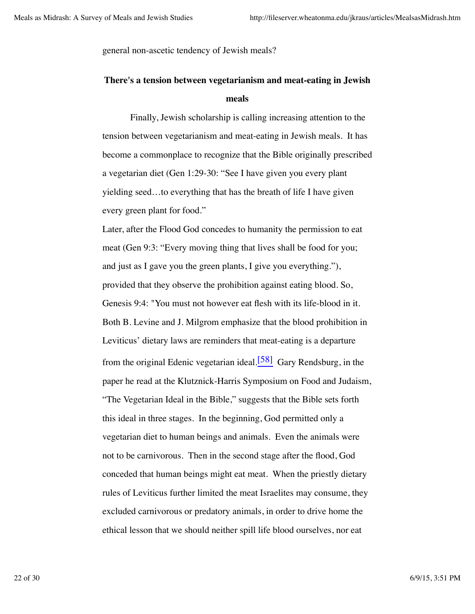general non-ascetic tendency of Jewish meals?

# **There's a tension between vegetarianism and meat-eating in Jewish meals**

Finally, Jewish scholarship is calling increasing attention to the tension between vegetarianism and meat-eating in Jewish meals. It has become a commonplace to recognize that the Bible originally prescribed a vegetarian diet (Gen 1:29-30: "See I have given you every plant yielding seed…to everything that has the breath of life I have given every green plant for food."

Later, after the Flood God concedes to humanity the permission to eat meat (Gen 9:3: "Every moving thing that lives shall be food for you; and just as I gave you the green plants, I give you everything."), provided that they observe the prohibition against eating blood. So, Genesis 9:4: "You must not however eat flesh with its life-blood in it. Both B. Levine and J. Milgrom emphasize that the blood prohibition in Leviticus' dietary laws are reminders that meat-eating is a departure from the original Edenic vegetarian ideal.[58] Gary Rendsburg, in the paper he read at the Klutznick-Harris Symposium on Food and Judaism, "The Vegetarian Ideal in the Bible," suggests that the Bible sets forth this ideal in three stages. In the beginning, God permitted only a vegetarian diet to human beings and animals. Even the animals were not to be carnivorous. Then in the second stage after the flood, God conceded that human beings might eat meat. When the priestly dietary rules of Leviticus further limited the meat Israelites may consume, they excluded carnivorous or predatory animals, in order to drive home the ethical lesson that we should neither spill life blood ourselves, nor eat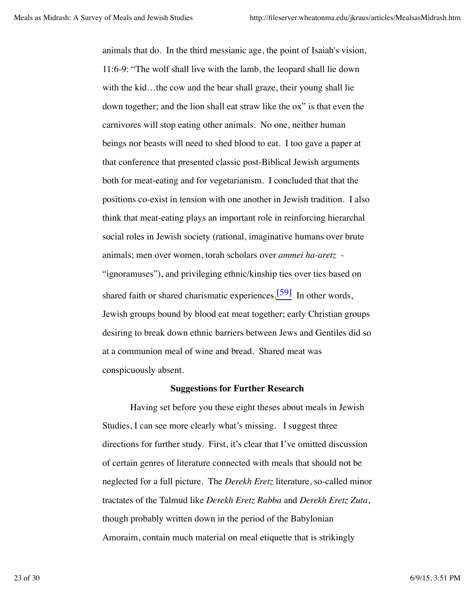animals that do. In the third messianic age, the point of Isaiah's vision, 11:6-9: "The wolf shall live with the lamb, the leopard shall lie down with the kid...the cow and the bear shall graze, their young shall lie down together; and the lion shall eat straw like the ox" is that even the carnivores will stop eating other animals. No one, neither human beings nor beasts will need to shed blood to eat. I too gave a paper at that conference that presented classic post-Biblical Jewish arguments both for meat-eating and for vegetarianism. I concluded that that the positions co-exist in tension with one another in Jewish tradition. I also think that meat-eating plays an important role in reinforcing hierarchal social roles in Jewish society (rational, imaginative humans over brute animals; men over women, torah scholars over *ammei ha-aretz* - "ignoramuses"), and privileging ethnic/kinship ties over ties based on shared faith or shared charismatic experiences.<sup>[59]</sup> In other words, Jewish groups bound by blood eat meat together; early Christian groups desiring to break down ethnic barriers between Jews and Gentiles did so at a communion meal of wine and bread. Shared meat was conspicuously absent.

#### **Suggestions for Further Research**

Having set before you these eight theses about meals in Jewish Studies, I can see more clearly what's missing. I suggest three directions for further study. First, it's clear that I've omitted discussion of certain genres of literature connected with meals that should not be neglected for a full picture. The *Derekh Eretz* literature, so-called minor tractates of the Talmud like *Derekh Eretz Rabba* and *Derekh Eretz Zuta*, though probably written down in the period of the Babylonian Amoraim, contain much material on meal etiquette that is strikingly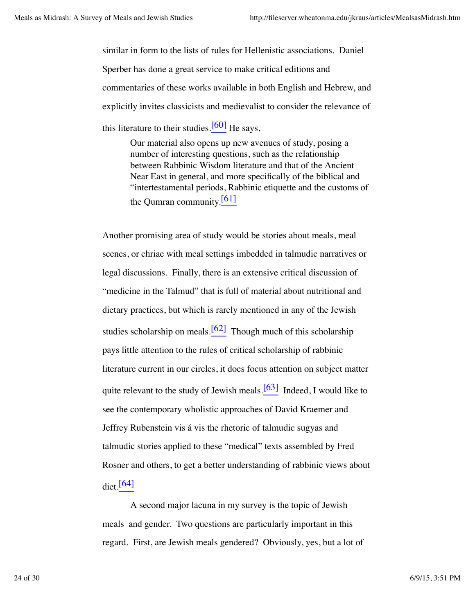similar in form to the lists of rules for Hellenistic associations. Daniel Sperber has done a great service to make critical editions and commentaries of these works available in both English and Hebrew, and explicitly invites classicists and medievalist to consider the relevance of this literature to their studies. $[60]$  He says,

Our material also opens up new avenues of study, posing a number of interesting questions, such as the relationship between Rabbinic Wisdom literature and that of the Ancient Near East in general, and more specifically of the biblical and "intertestamental periods, Rabbinic etiquette and the customs of the Qumran community. $[61]$ 

Another promising area of study would be stories about meals, meal scenes, or chriae with meal settings imbedded in talmudic narratives or legal discussions. Finally, there is an extensive critical discussion of "medicine in the Talmud" that is full of material about nutritional and dietary practices, but which is rarely mentioned in any of the Jewish studies scholarship on meals.<sup>[62]</sup> Though much of this scholarship pays little attention to the rules of critical scholarship of rabbinic literature current in our circles, it does focus attention on subject matter quite relevant to the study of Jewish meals.  $[63]$  Indeed, I would like to see the contemporary wholistic approaches of David Kraemer and Jeffrey Rubenstein vis á vis the rhetoric of talmudic sugyas and talmudic stories applied to these "medical" texts assembled by Fred Rosner and others, to get a better understanding of rabbinic views about  $di$ et.<sup>[64]</sup>

A second major lacuna in my survey is the topic of Jewish meals and gender. Two questions are particularly important in this regard. First, are Jewish meals gendered? Obviously, yes, but a lot of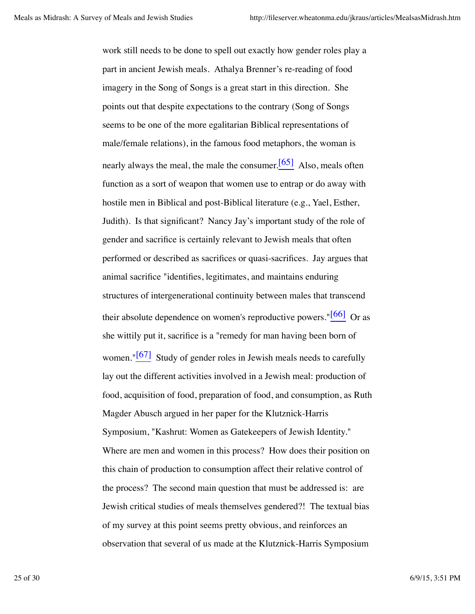work still needs to be done to spell out exactly how gender roles play a part in ancient Jewish meals. Athalya Brenner's re-reading of food imagery in the Song of Songs is a great start in this direction. She points out that despite expectations to the contrary (Song of Songs seems to be one of the more egalitarian Biblical representations of male/female relations), in the famous food metaphors, the woman is nearly always the meal, the male the consumer. $[65]$  Also, meals often function as a sort of weapon that women use to entrap or do away with hostile men in Biblical and post-Biblical literature (e.g., Yael, Esther, Judith). Is that significant? Nancy Jay's important study of the role of gender and sacrifice is certainly relevant to Jewish meals that often performed or described as sacrifices or quasi-sacrifices. Jay argues that animal sacrifice "identifies, legitimates, and maintains enduring structures of intergenerational continuity between males that transcend their absolute dependence on women's reproductive powers." $[66]$  Or as she wittily put it, sacrifice is a "remedy for man having been born of women." $[67]$  Study of gender roles in Jewish meals needs to carefully lay out the different activities involved in a Jewish meal: production of food, acquisition of food, preparation of food, and consumption, as Ruth Magder Abusch argued in her paper for the Klutznick-Harris Symposium, "Kashrut: Women as Gatekeepers of Jewish Identity." Where are men and women in this process? How does their position on this chain of production to consumption affect their relative control of the process? The second main question that must be addressed is: are Jewish critical studies of meals themselves gendered?! The textual bias of my survey at this point seems pretty obvious, and reinforces an observation that several of us made at the Klutznick-Harris Symposium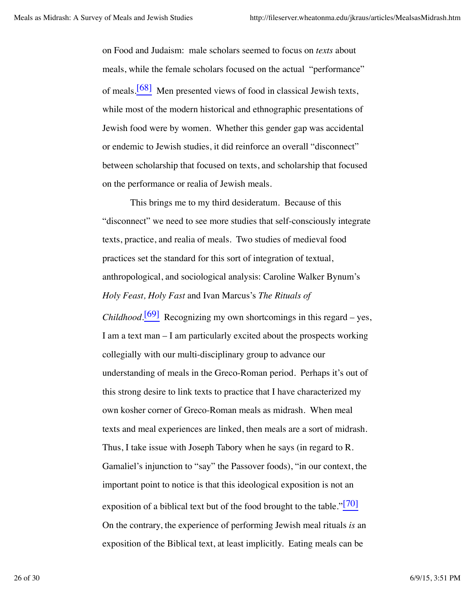on Food and Judaism: male scholars seemed to focus on *texts* about meals, while the female scholars focused on the actual "performance" of meals.[68] Men presented views of food in classical Jewish texts, while most of the modern historical and ethnographic presentations of Jewish food were by women. Whether this gender gap was accidental or endemic to Jewish studies, it did reinforce an overall "disconnect" between scholarship that focused on texts, and scholarship that focused on the performance or realia of Jewish meals.

This brings me to my third desideratum. Because of this "disconnect" we need to see more studies that self-consciously integrate texts, practice, and realia of meals. Two studies of medieval food practices set the standard for this sort of integration of textual, anthropological, and sociological analysis: Caroline Walker Bynum's *Holy Feast, Holy Fast* and Ivan Marcus's *The Rituals of*

*Childhood.*<sup>[69]</sup> Recognizing my own shortcomings in this regard – yes, I am a text man – I am particularly excited about the prospects working collegially with our multi-disciplinary group to advance our understanding of meals in the Greco-Roman period. Perhaps it's out of this strong desire to link texts to practice that I have characterized my own kosher corner of Greco-Roman meals as midrash. When meal texts and meal experiences are linked, then meals are a sort of midrash. Thus, I take issue with Joseph Tabory when he says (in regard to R. Gamaliel's injunction to "say" the Passover foods), "in our context, the important point to notice is that this ideological exposition is not an exposition of a biblical text but of the food brought to the table." $\frac{[70]}{[70]}$ On the contrary, the experience of performing Jewish meal rituals *is* an exposition of the Biblical text, at least implicitly. Eating meals can be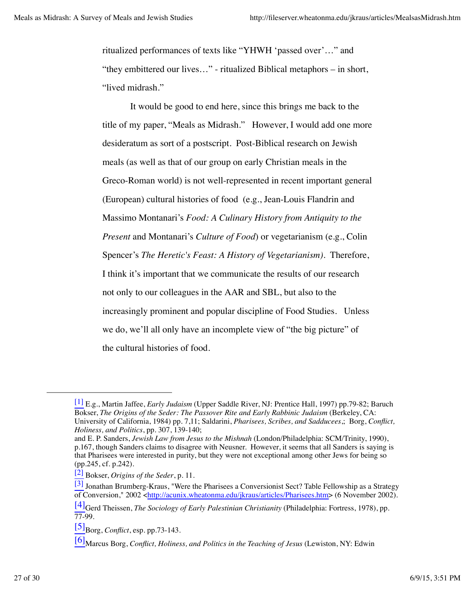ritualized performances of texts like "YHWH 'passed over'…" and "they embittered our lives…" - ritualized Biblical metaphors – in short, "lived midrash."

It would be good to end here, since this brings me back to the title of my paper, "Meals as Midrash." However, I would add one more desideratum as sort of a postscript. Post-Biblical research on Jewish meals (as well as that of our group on early Christian meals in the Greco-Roman world) is not well-represented in recent important general (European) cultural histories of food (e.g., Jean-Louis Flandrin and Massimo Montanari's *Food: A Culinary History from Antiquity to the Present* and Montanari's *Culture of Food*) or vegetarianism (e.g., Colin Spencer's *The Heretic's Feast: A History of Vegetarianism)*. Therefore, I think it's important that we communicate the results of our research not only to our colleagues in the AAR and SBL, but also to the increasingly prominent and popular discipline of Food Studies. Unless we do, we'll all only have an incomplete view of "the big picture" of the cultural histories of food.

<sup>[1]</sup> E.g., Martin Jaffee, *Early Judaism* (Upper Saddle River, NJ: Prentice Hall, 1997) pp.79-82; Baruch Bokser, *The Origins of the Seder: The Passover Rite and Early Rabbinic Judaism* (Berkeley, CA: University of California, 1984) pp. 7,11; Saldarini, *Pharisees, Scribes, and Sadducees*,; Borg, *Conflict, Holiness, and Politics*, pp. 307, 139-140;

and E. P. Sanders, *Jewish Law from Jesus to the Mishnah* (London/Philadelphia: SCM/Trinity, 1990), p.167, though Sanders claims to disagree with Neusner. However, it seems that all Sanders is saying is that Pharisees were interested in purity, but they were not exceptional among other Jews for being so (pp.245, cf. p.242).

<sup>[2]</sup> Bokser, *Origins of the Seder*, p. 11.

<sup>[3]</sup> Jonathan Brumberg-Kraus, "Were the Pharisees a Conversionist Sect? Table Fellowship as a Strategy of Conversion," 2002 <http://acunix.wheatonma.edu/jkraus/articles/Pharisees.htm> (6 November 2002).

<sup>[4]</sup>Gerd Theissen, *The Sociology of Early Palestinian Christianity* (Philadelphia: Fortress, 1978), pp. 77-99.

 $[5]$ Borg, *Conflict*, esp. pp.73-143.

<sup>[6]</sup>Marcus Borg, *Conflict, Holiness, and Politics in the Teaching of Jesus* (Lewiston, NY: Edwin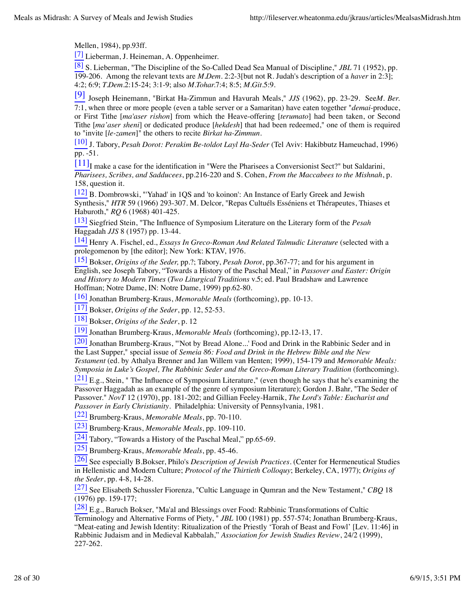Mellen, 1984), pp.93ff.

 $\frac{[7]}{[7]}$  Lieberman, J. Heineman, A. Oppenheimer.

[8] S. Lieberman, "The Discipline of the So-Called Dead Sea Manual of Discipline," *JBL* 71 (1952), pp. 199-206. Among the relevant texts are *M.Dem.* 2:2-3[but not R. Judah's description of a *haver* in 2:3]; 4:2; 6:9; *T.Dem.*2:15-24; 3:1-9; also *M.Tohar.*7:4; 8:5; *M.Git.*5:9.

[9] Joseph Heinemann, "Birkat Ha-Zimmun and Havurah Meals," *JJS* (1962), pp. 23-29. See*M. Ber.* 7:1, when three or more people (even a table server or a Samaritan) have eaten together "*demai*-produce, or First Tithe [*ma'aser rishon*] from which the Heave-offering [*terumato*] had been taken, or Second Tithe [*ma'aser sheni*] or dedicated produce [*hekdesh*] that had been redeemed," one of them is required to "invite [*le-zamen*]" the others to recite *Birkat ha-Zimmun*.

[10] J. Tabory, *Pesah Dorot: Perakim Be-toldot Layl Ha-Seder* (Tel Aviv: Hakibbutz Hameuchad, 1996)  $pp. -51.$ 

 $\frac{[11]}{[11]}$ I make a case for the identification in "Were the Pharisees a Conversionist Sect?" but Saldarini, *Pharisees, Scribes, and Sadducees*, pp.216-220 and S. Cohen, *From the Maccabees to the Mishnah*, p. 158, question it.

[12] B. Dombrowski, "'Yahad' in 1QS and 'to koinon': An Instance of Early Greek and Jewish Synthesis," *HTR* 59 (1966) 293-307. M. Delcor, "Repas Cultuéls Esséniens et Thérapeutes, Thiases et Haburoth," *RQ* 6 (1968) 401-425.

[13] Siegfried Stein, "The Influence of Symposium Literature on the Literary form of the *Pesah* Haggadah *JJS* 8 (1957) pp. 13-44.

[14] Henry A. Fischel, ed., *Essays In Greco-Roman And Related Talmudic Literature* (selected with a prolegomenon by [the editor]; New York: KTAV, 1976.

[15] Bokser, *Origins of the Seder,* pp.?; Tabory, *Pesah Dorot*, pp.367-77; and for his argument in English, see Joseph Tabory, "Towards a History of the Paschal Meal," in *Passover and Easter: Origin and History to Modern Times* (*Two Liturgical Traditions* v.5; ed. Paul Bradshaw and Lawrence Hoffman; Notre Dame, IN: Notre Dame, 1999) pp.62-80.

[16] Jonathan Brumberg-Kraus, *Memorable Meals* (forthcoming), pp. 10-13.

[17] Bokser, *Origins of the Seder*, pp. 12, 52-53.

[18] Bokser, *Origins of the Seder*, p. 12

[19] Jonathan Brumberg-Kraus, *Memorable Meals* (forthcoming), pp.12-13, 17.

[20] Jonathan Brumberg-Kraus, "'Not by Bread Alone...' Food and Drink in the Rabbinic Seder and in the Last Supper," special issue of *Semeia 86: Food and Drink in the Hebrew Bible and the New Testament* (ed. by Athalya Brenner and Jan Willem van Henten; 1999), 154-179 and *Memorable Meals: Symposia in Luke's Gospel, The Rabbinic Seder and the Greco-Roman Literary Tradition* (forthcoming).

[21] E.g., Stein, " The Influence of Symposium Literature," (even though he says that he's examining the Passover Haggadah as an example of the genre of symposium literature); Gordon J. Bahr, "The Seder of Passover." *NovT* 12 (1970), pp. 181-202; and Gillian Feeley-Harnik, *The Lord's Table: Eucharist and Passover in Early Christianity*. Philadelphia: University of Pennsylvania, 1981.

[22] Brumberg-Kraus, *Memorable Meals*, pp. 70-110.

[23] Brumberg-Kraus, *Memorable Meals*, pp. 109-110.

[24] Tabory, "Towards a History of the Paschal Meal," pp.65-69.

[25] Brumberg-Kraus, *Memorable Meals*, pp. 45-46.

[26] See especially B.Bokser, Philo's *Description of Jewish Practices*. (Center for Hermeneutical Studies in Hellenistic and Modern Culture; *Protocol of the Thirtieth Colloquy*; Berkeley, CA, 1977); *Origins of the Seder*, pp. 4-8, 14-28.

[27] See Elisabeth Schussler Fiorenza, "Cultic Language in Qumran and the New Testament," *CBQ* 18  $(1976)$  pp. 159-177;

 $[28]$  E.g., Baruch Bokser, "Ma'al and Blessings over Food: Rabbinic Transformations of Cultic Terminology and Alternative Forms of Piety, " *JBL* 100 (1981) pp. 557-574; Jonathan Brumberg-Kraus, "Meat-eating and Jewish Identity: Ritualization of the Priestly 'Torah of Beast and Fowl' [Lev. 11:46] in Rabbinic Judaism and in Medieval Kabbalah," *Association for Jewish Studies Review*, 24/2 (1999), 227-262.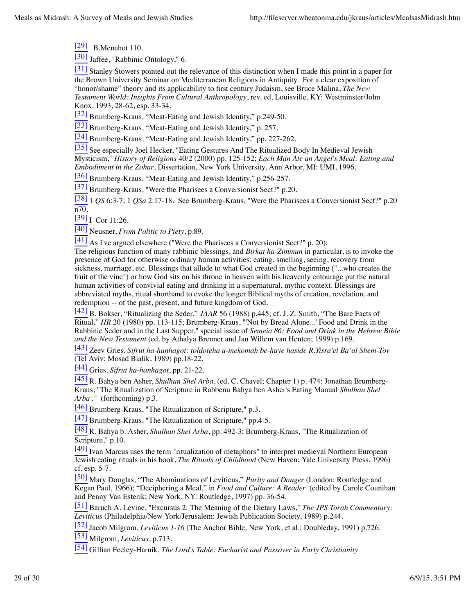$[29]$  B.Menahot 110.

[30] Jaffee, "Rabbinic Ontology," 6.

[31] Stanley Stowers pointed out the relevance of this distinction when I made this point in a paper for the Brown University Seminar on Mediterranean Religions in Antiquity. For a clear exposition of "honor/shame" theory and its applicability to first century Judaism, see Bruce Malina, *The New Testament World: Insights From Cultural Anthropology*, rev. ed, Louisville, KY: Westminster/John Knox, 1993, 28-62, esp. 33-34.

[32] Brumberg-Kraus, "Meat-Eating and Jewish Identity," p.249-50.

[33] Brumberg-Kraus, "Meat-Eating and Jewish Identity," p. 257.

[34] Brumberg-Kraus, "Meat-Eating and Jewish Identity," pp. 227-262.

[35] See especially Joel Hecker, "Eating Gestures And The Ritualized Body In Medieval Jewish Mysticism," *History of Religions* 40/2 (2000) pp. 125-152; *Each Man Ate an Angel's Meal: Eating and Embodiment in the Zohar*, Dissertation, New York University, Ann Arbor, MI: UMI, 1996.

[36] Brumberg-Kraus, "Meat-Eating and Jewish Identity," p.256-257.

[37] Brumberg-Kraus, "Were the Pharisees a Conversionist Sect?" p.20.

[38] 1 *QS* 6:3-7; 1 *QSa* 2:17-18. See Brumberg-Kraus, "Were the Pharisees a Conversionist Sect?" p.20 n70.

[39] I Cor 11:26.

[40] Neusner, *From Politic to Piety*, p.89.

 $\boxed{41}$  As I've argued elsewhere ("Were the Pharisees a Conversionist Sect?" p. 20):

The religious function of many rabbinic blessings, and *Birkat ha-Zimmun* in particular, is to invoke the presence of God for otherwise ordinary human activities: eating, smelling, seeing, recovery from sickness, marriage, etc. Blessings that allude to what God created in the beginning ("...who creates the fruit of the vine") or how God sits on his throne in heaven with his heavenly entourage put the natural human activities of convivial eating and drinking in a supernatural, mythic context. Blessings are abbreviated myths, ritual shorthand to evoke the longer Biblical myths of creation, revelation, and redemption -- of the past, present, and future kingdom of God.

[42] B. Bokser, "Ritualizing the Seder," *JAAR* 56 (1988) p.445; cf. J. Z. Smith, "The Bare Facts of Ritual," *HR* 20 (1980) pp. 113-115; Brumberg-Kraus, "'Not by Bread Alone...' Food and Drink in the Rabbinic Seder and in the Last Supper," special issue of *Semeia 86: Food and Drink in the Hebrew Bible and the New Testament* (ed. by Athalya Brenner and Jan Willem van Henten; 1999) p.169.

[43] Zeev Gries, *Sifrut ha-hanhagot: toldoteha u-mekomah be-haye haside R.Yisra'el Ba`al Shem-Tov* (Tel Aviv: Mosad Bialik, 1989) pp.18-22.

[44] Gries, *Sifrut ha-hanhagot*, pp. 21-22.

[45] R. Bahya ben Asher, *Shulhan Shel Arba*, (ed. C. Chavel; Chapter 1) p. 474; Jonathan Brumberg-Kraus, "The Ritualization of Scripture in Rabbenu Bahya ben Asher's Eating Manual *Shulhan Shel Arba',"* (forthcoming) p.3.

 $\frac{[46]}{[46]}$  Brumberg-Kraus, "The Ritualization of Scripture," p.3.

 $\overline{[47]}$  Brumberg-Kraus, "The Ritualization of Scripture," pp.4-5.

[48] R. Bahya b. Asher, *Shulhan Shel Arba*, pp. 492-3; Brumberg-Kraus, "The Ritualization of Scripture," p.10.

<sup>[49]</sup> Ivan Marcus uses the term "ritualization of metaphors" to interpret medieval Northern European Jewish eating rituals in his book, *The Rituals of Childhood* (New Haven: Yale University Press, 1996) cf. esp. 5-7.

[50] Mary Douglas, "The Abominations of Leviticus," *Purity and Danger* (London: Routledge and Kegan Paul, 1966); "Deciphering a Meal," in *Food and Culture: A Reader* (edited by Carole Counihan and Penny Van Esterik; New York, NY: Routledge, 1997) pp. 36-54.

[51] Baruch A. Levine, "Excursus 2: The Meaning of the Dietary Laws," *The JPS Torah Commentary: Leviticus* (Philadelphia/New York/Jerusalem: Jewish Publication Society, 1989) p.244.

[52] Jacob Milgrom, *Leviticus 1-16* (The Anchor Bible; New York, et al.: Doubleday, 1991) p.726.

[53] Milgrom, *Leviticus*, p.713.

[54] Gillian Feeley-Harnik, *The Lord's Table: Eucharist and Passover in Early Christianity*